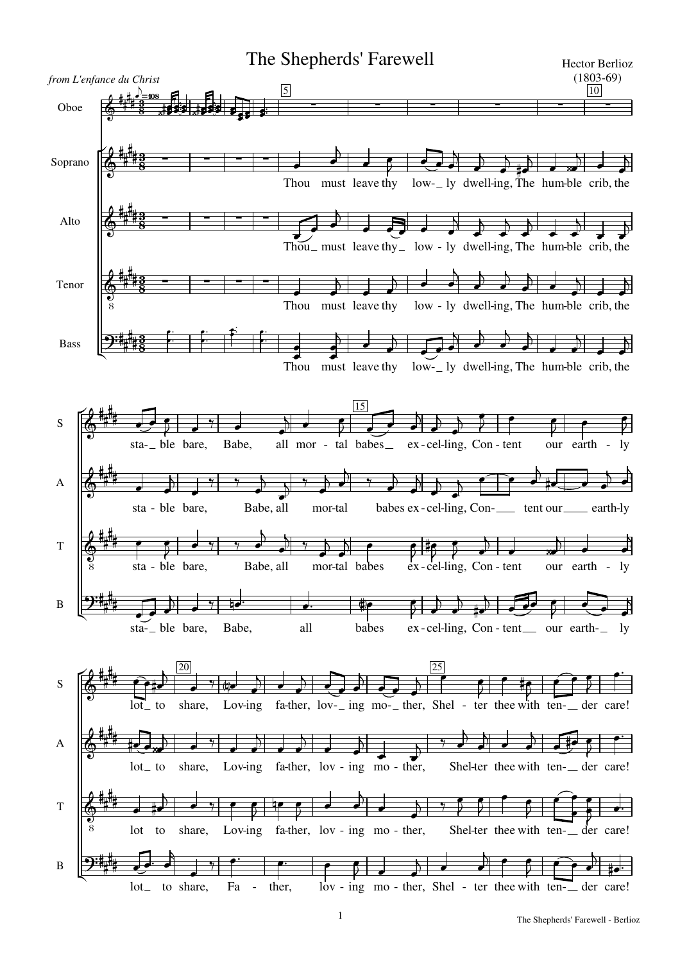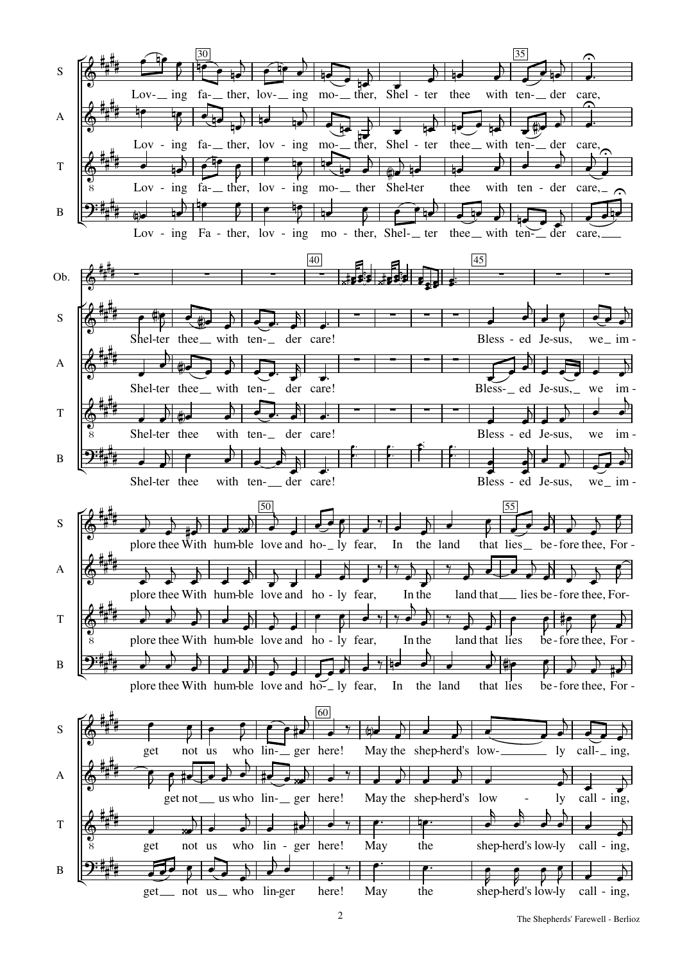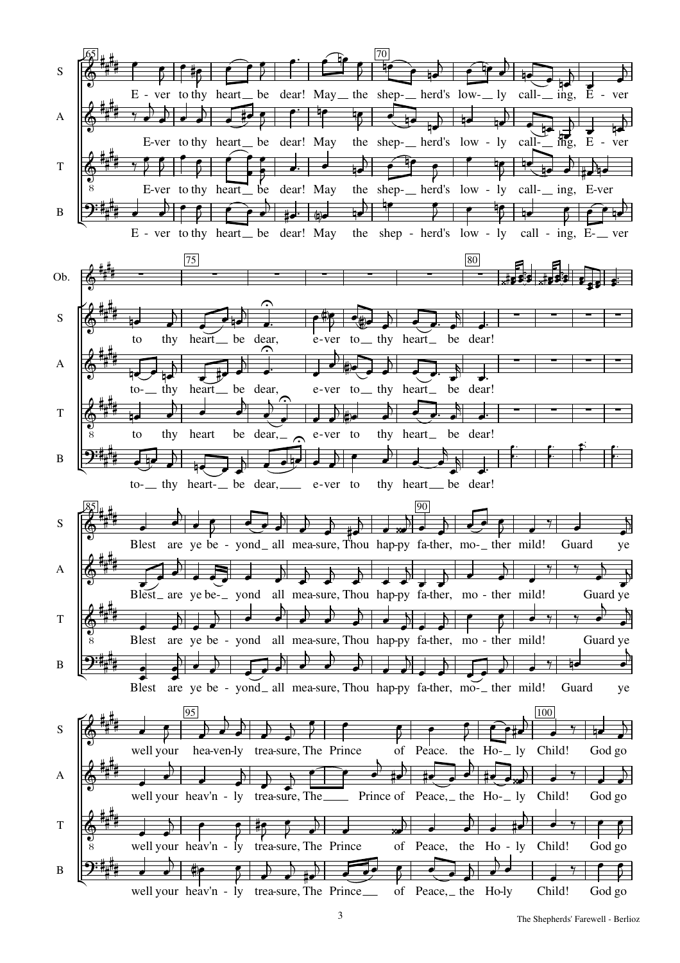